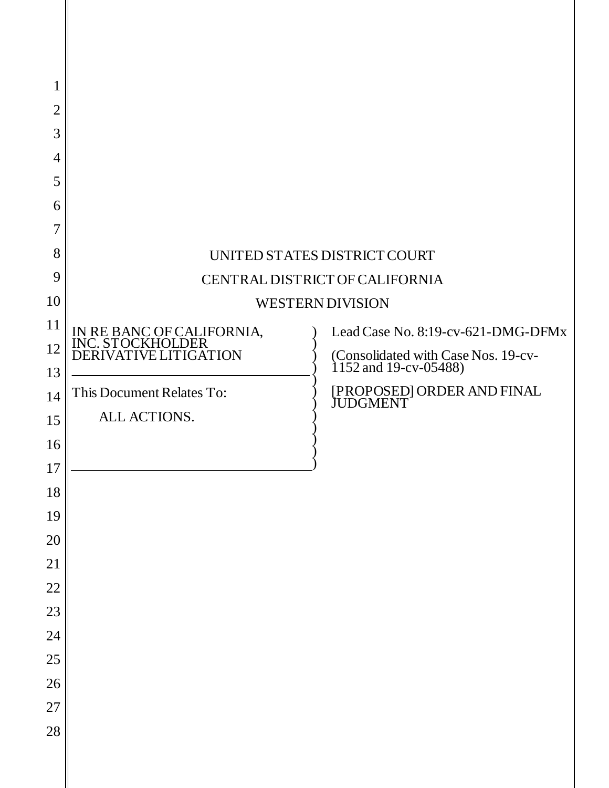| $\mathbf{1}$   |                                            |                                                              |
|----------------|--------------------------------------------|--------------------------------------------------------------|
| $\overline{2}$ |                                            |                                                              |
| 3              |                                            |                                                              |
| $\overline{4}$ |                                            |                                                              |
| 5              |                                            |                                                              |
| 6              |                                            |                                                              |
| 7              |                                            |                                                              |
| 8              |                                            | UNITED STATES DISTRICT COURT                                 |
| 9              | CENTRAL DISTRICT OF CALIFORNIA             |                                                              |
| 10             | <b>WESTERN DIVISION</b>                    |                                                              |
| 11             | IN RE BANC OF CALIFORNIA, INC. STOCKHOLDER | Lead Case No. 8:19-cv-621-DMG-DFMx                           |
| 12             | <b>DERIVATIVE LITIGATION</b>               | (Consolidated with Case Nos. 19-cv-<br>1152 and 19-cv-05488) |
| 13             |                                            |                                                              |
| 14             | This Document Relates To:                  | [PROPOSED] ORDER AND FINAL<br>JUDGMENT                       |
| 15             | ALL ACTIONS.                               |                                                              |
| 16             |                                            |                                                              |
| $17\,$         |                                            |                                                              |
| 18             |                                            |                                                              |
| 19             |                                            |                                                              |
| 20             |                                            |                                                              |
| 21             |                                            |                                                              |
| 22<br>23       |                                            |                                                              |
| 24             |                                            |                                                              |
| 25             |                                            |                                                              |
| 26             |                                            |                                                              |
| 27             |                                            |                                                              |
| 28             |                                            |                                                              |
|                |                                            |                                                              |

║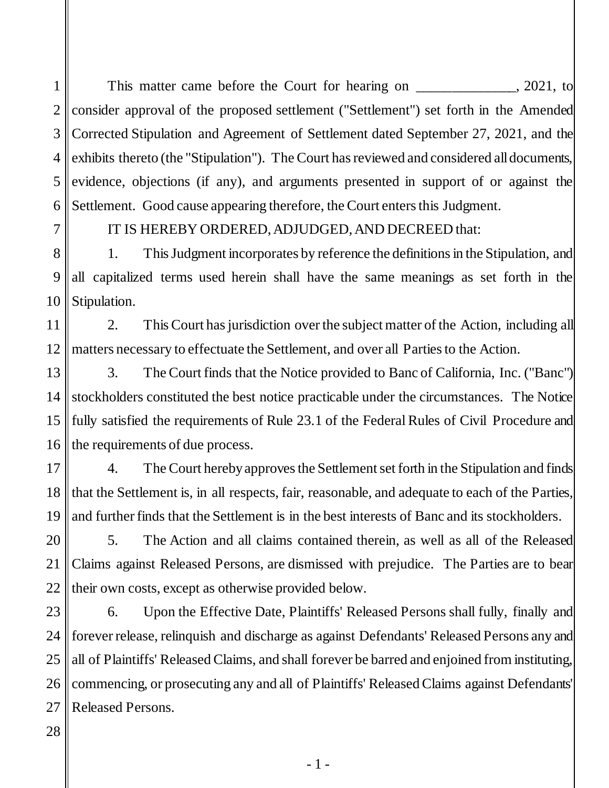1 2 3 4 5 6 This matter came before the Court for hearing on \_\_\_\_\_\_\_\_\_\_\_\_, 2021, to consider approval of the proposed settlement ("Settlement") set forth in the Amended Corrected Stipulation and Agreement of Settlement dated September 27, 2021, and the exhibits thereto (the "Stipulation"). The Court has reviewed and considered all documents, evidence, objections (if any), and arguments presented in support of or against the Settlement. Good cause appearing therefore, the Court enters this Judgment.

7

## IT IS HEREBY ORDERED, ADJUDGED, AND DECREED that:

8 9 10 1. This Judgment incorporates by reference the definitions in the Stipulation, and all capitalized terms used herein shall have the same meanings as set forth in the Stipulation.

11 12 2. This Court has jurisdiction over the subject matter of the Action, including all matters necessary to effectuate the Settlement, and over all Partiesto the Action.

13 14 15 16 3. The Court finds that the Notice provided to Banc of California, Inc. ("Banc") stockholders constituted the best notice practicable under the circumstances. The Notice fully satisfied the requirements of Rule 23.1 of the Federal Rules of Civil Procedure and the requirements of due process.

17 18 19 4. The Court hereby approves the Settlement set forth in the Stipulation and finds that the Settlement is, in all respects, fair, reasonable, and adequate to each of the Parties, and further finds that the Settlement is in the best interests of Banc and its stockholders.

20 21 22 5. The Action and all claims contained therein, as well as all of the Released Claims against Released Persons, are dismissed with prejudice. The Parties are to bear their own costs, except as otherwise provided below.

23 24 25 26 27 6. Upon the Effective Date, Plaintiffs' Released Persons shall fully, finally and forever release, relinquish and discharge as against Defendants' Released Persons any and all of Plaintiffs' Released Claims, and shall forever be barred and enjoined from instituting, commencing, or prosecuting any and all of Plaintiffs' Released Claims against Defendants' Released Persons.

28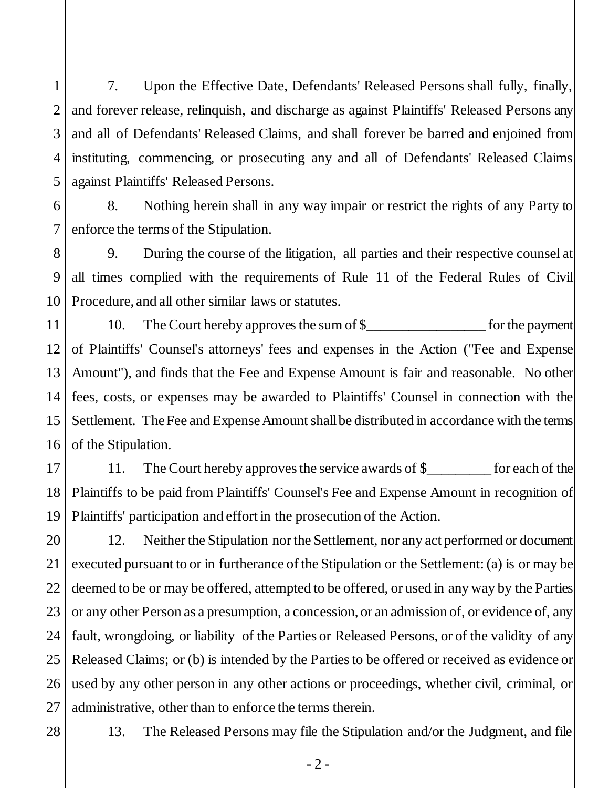1 2 3 4 5 7. Upon the Effective Date, Defendants' Released Persons shall fully, finally, and forever release, relinquish, and discharge as against Plaintiffs' Released Persons any and all of Defendants' Released Claims, and shall forever be barred and enjoined from instituting, commencing, or prosecuting any and all of Defendants' Released Claims against Plaintiffs' Released Persons.

6 7 8. Nothing herein shall in any way impair or restrict the rights of any Party to enforce the terms of the Stipulation.

8 9 10 9. During the course of the litigation, all parties and their respective counsel at all times complied with the requirements of Rule 11 of the Federal Rules of Civil Procedure, and all other similar laws or statutes.

11 12 13 14 15 16 10. The Court hereby approves the sum of \$\_\_\_\_\_\_\_\_\_\_\_\_\_\_\_\_\_\_\_\_\_ for the payment of Plaintiffs' Counsel's attorneys' fees and expenses in the Action ("Fee and Expense Amount"), and finds that the Fee and Expense Amount is fair and reasonable. No other fees, costs, or expenses may be awarded to Plaintiffs' Counsel in connection with the Settlement. The Fee and Expense Amount shall be distributed in accordance with the terms of the Stipulation.

17 18 19 11. The Court hereby approves the service awards of \$\_\_\_\_\_\_\_\_ for each of the Plaintiffs to be paid from Plaintiffs' Counsel's Fee and Expense Amount in recognition of Plaintiffs' participation and effort in the prosecution of the Action.

20 21 22 23 24 25 26 27 12. Neither the Stipulation nor the Settlement, nor any act performed or document executed pursuant to or in furtherance of the Stipulation or the Settlement: (a) is or may be deemed to be or may be offered, attempted to be offered, or used in any way by the Parties or any other Person as a presumption, a concession, or an admission of, or evidence of, any fault, wrongdoing, or liability of the Parties or Released Persons, or of the validity of any Released Claims; or (b) is intended by the Parties to be offered or received as evidence or used by any other person in any other actions or proceedings, whether civil, criminal, or administrative, other than to enforce the terms therein.

28

13. The Released Persons may file the Stipulation and/or the Judgment, and file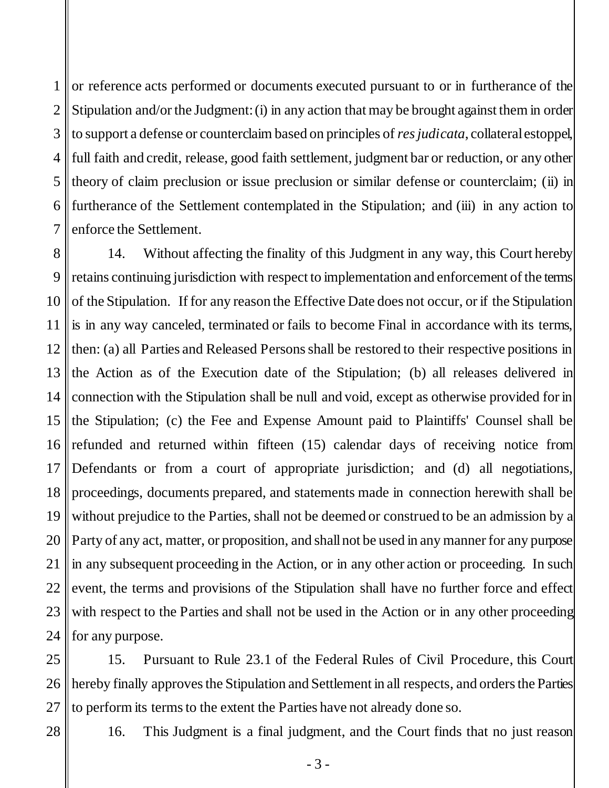1 2 3 4 5 6 7 or reference acts performed or documents executed pursuant to or in furtherance of the Stipulation and/or the Judgment: (i) in any action that may be brought against them in order to support a defense or counterclaim based on principles of *res judicata*, collateral estoppel, full faith and credit, release, good faith settlement, judgment bar or reduction, or any other theory of claim preclusion or issue preclusion or similar defense or counterclaim; (ii) in furtherance of the Settlement contemplated in the Stipulation; and (iii) in any action to enforce the Settlement.

8 9 10 11 12 13 14 15 16 17 18 19 20 21 22 23 24 14. Without affecting the finality of this Judgment in any way, this Court hereby retains continuing jurisdiction with respect to implementation and enforcement of the terms of the Stipulation. If for any reason the Effective Date does not occur, or if the Stipulation is in any way canceled, terminated or fails to become Final in accordance with its terms, then: (a) all Parties and Released Persons shall be restored to their respective positions in the Action as of the Execution date of the Stipulation; (b) all releases delivered in connection with the Stipulation shall be null and void, except as otherwise provided for in the Stipulation; (c) the Fee and Expense Amount paid to Plaintiffs' Counsel shall be refunded and returned within fifteen (15) calendar days of receiving notice from Defendants or from a court of appropriate jurisdiction; and (d) all negotiations, proceedings, documents prepared, and statements made in connection herewith shall be without prejudice to the Parties, shall not be deemed or construed to be an admission by a Party of any act, matter, or proposition, and shall not be used in any manner for any purpose in any subsequent proceeding in the Action, or in any other action or proceeding. In such event, the terms and provisions of the Stipulation shall have no further force and effect with respect to the Parties and shall not be used in the Action or in any other proceeding for any purpose.

25 26 27 15. Pursuant to Rule 23.1 of the Federal Rules of Civil Procedure, this Court hereby finally approves the Stipulation and Settlement in all respects, and orders the Parties to perform its terms to the extent the Parties have not already done so.

28

16. This Judgment is a final judgment, and the Court finds that no just reason